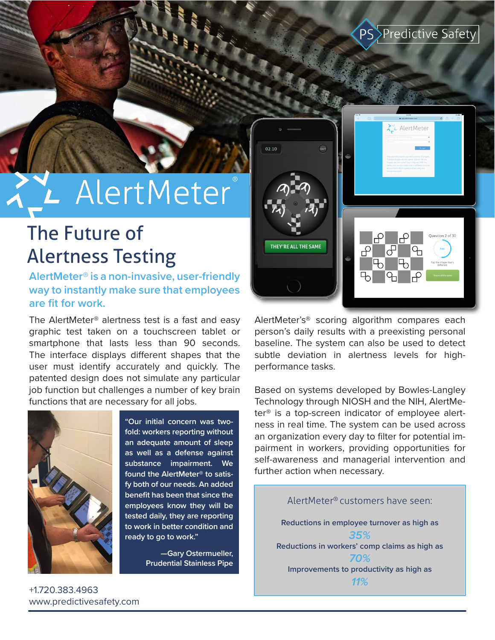### PS<sup>></sup>Predictive Safety

# **AlertMeter**

## The Future of Alertness Testing

#### **AlertMeter® is a non-invasive, user-friendly way to instantly make sure that employees are fit for work.**

The AlertMeter® alertness test is a fast and easy graphic test taken on a touchscreen tablet or smartphone that lasts less than 90 seconds. The interface displays different shapes that the user must identify accurately and quickly. The patented design does not simulate any particular job function but challenges a number of key brain functions that are necessary for all jobs.



**"Our initial concern was twofold: workers reporting without an adequate amount of sleep as well as a defense against substance impairment. We found the AlertMeter® to satisfy both of our needs. An added benefit has been that since the employees know they will be tested daily, they are reporting to work in better condition and ready to go to work."**

> **—Gary Ostermueller, Prudential Stainless Pipe**



AlertMeter's® scoring algorithm compares each person's daily results with a preexisting personal baseline. The system can also be used to detect subtle deviation in alertness levels for highperformance tasks.

Based on systems developed by Bowles-Langley Technology through NIOSH and the NIH, AlertMeter® is a top-screen indicator of employee alertness in real time. The system can be used across an organization every day to filter for potential impairment in workers, providing opportunities for self-awareness and managerial intervention and further action when necessary.

AlertMeter® customers have seen: **Reductions in employee turnover as high as**  *35%* **Reductions in workers' comp claims as high as** *70%* **Improvements to productivity as high as** *11%*

+1.720.383.4963 www.predictivesafety.com